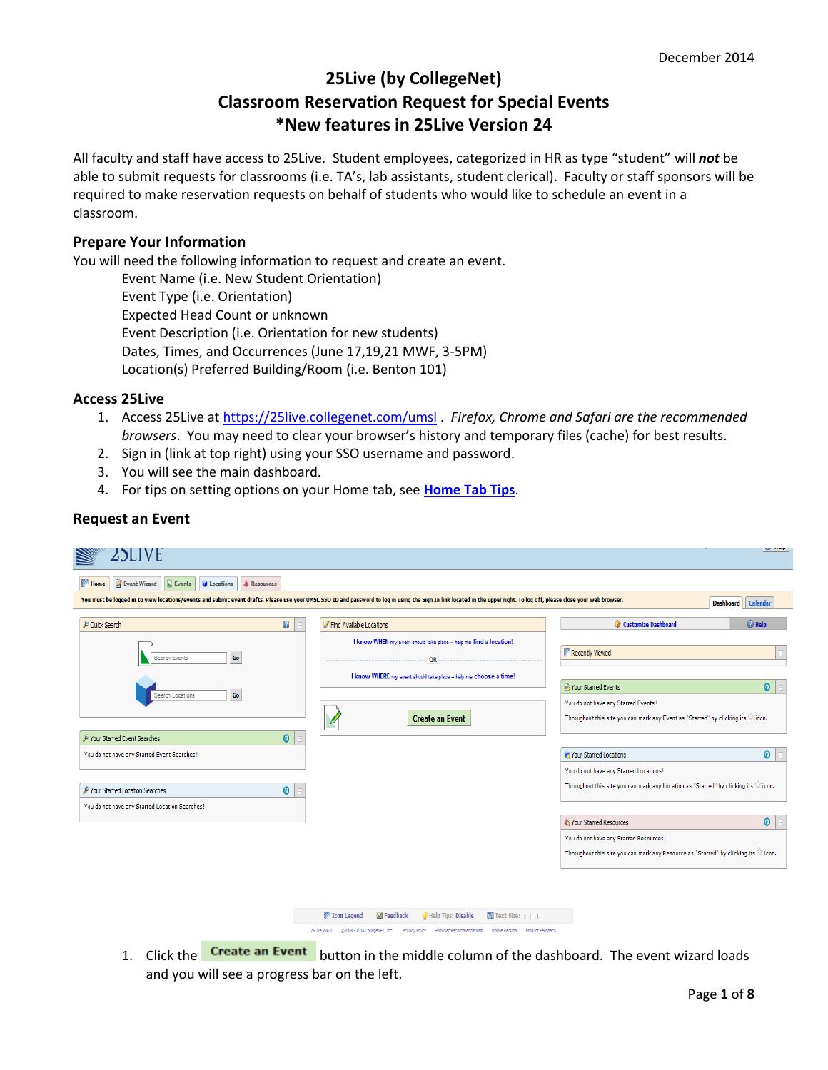# **25Live (by CollegeNet) Classroom Reservation Request for Special Events \*New features in 25Live Version 24**

All faculty and staff have access to 25Live. Student employees, categorized in HR as type "student" will *not* be able to submit requests for classrooms (i.e. TA's, lab assistants, student clerical). Faculty or staff sponsors will be required to make reservation requests on behalf of students who would like to schedule an event in a classroom.

## **Prepare Your Information**

You will need the following information to request and create an event.

Event Name (i.e. New Student Orientation) Event Type (i.e. Orientation) Expected Head Count or unknown Event Description (i.e. Orientation for new students) Dates, Times, and Occurrences (June 17,19,21 MWF, 3-5PM) Location(s) Preferred Building/Room (i.e. Benton 101)

## **Access 25Live**

**Request an Event**

- 1. Access 25Live at<https://25live.collegenet.com/umsl> . *Firefox, Chrome and Safari are the recommended browsers*. You may need to clear your browser's history and temporary files (cache) for best results.
- 2. Sign in (link at top right) using your SSO username and password.
- 3. You will see the main dashboard.
- 4. For tips on setting options on your Home tab, see **[Home Tab Tips](#page-6-0)**.

|                                                                                                                                                                                                                          |             |                                                                                            |                                 |                                                                                                                                               | and straight         |
|--------------------------------------------------------------------------------------------------------------------------------------------------------------------------------------------------------------------------|-------------|--------------------------------------------------------------------------------------------|---------------------------------|-----------------------------------------------------------------------------------------------------------------------------------------------|----------------------|
| ZSLIVE                                                                                                                                                                                                                   |             |                                                                                            |                                 |                                                                                                                                               |                      |
| <b>Nº Home</b><br><b>Event Wizard</b><br>$\boxed{\phantom{a}}$ Events<br><b>In Locations</b>                                                                                                                             | A Resources |                                                                                            |                                 |                                                                                                                                               |                      |
| You must be logged in to view locations/events and submit event drafts. Please use your UMSL SSO ID and password to log in using the Sign In link located in the upper right. To log off, please close your web browser. |             |                                                                                            |                                 |                                                                                                                                               | Dashboard   Calendar |
| Quick Search                                                                                                                                                                                                             | $\bullet$   | <b>A</b> Find Available Locations                                                          |                                 | Customize Dashboard                                                                                                                           | @ Help               |
| Go<br>Search Events                                                                                                                                                                                                      |             | I know WHEN my event should take place -- help me find a location!                         |                                 | Recently Viewed                                                                                                                               |                      |
|                                                                                                                                                                                                                          |             | OR<br>I know WHERE my event should take place -- help me choose a time!                    |                                 |                                                                                                                                               |                      |
| Go<br><b>Search Locations</b>                                                                                                                                                                                            |             | <b>Create an Event</b>                                                                     |                                 | Vour Starred Events<br>You do not have any Starred Events!<br>Throughout this site you can mark any Event as "Starred" by clicking its Wicon. | $\odot$              |
| P Your Starred Event Searches                                                                                                                                                                                            | $\bullet$   |                                                                                            |                                 |                                                                                                                                               |                      |
| You do not have any Starred Event Searches!                                                                                                                                                                              |             |                                                                                            |                                 | Your Starred Locations                                                                                                                        | $\odot$              |
|                                                                                                                                                                                                                          |             |                                                                                            |                                 | You do not have any Starred Locations!                                                                                                        |                      |
| P Your Starred Location Searches                                                                                                                                                                                         | ◉           |                                                                                            |                                 | Throughout this site you can mark any Location as "Starred" by clicking its W icon.                                                           |                      |
| You do not have any Starred Location Searches!                                                                                                                                                                           |             |                                                                                            |                                 |                                                                                                                                               |                      |
|                                                                                                                                                                                                                          |             |                                                                                            |                                 | Nour Starred Resources                                                                                                                        | $\odot$              |
|                                                                                                                                                                                                                          |             |                                                                                            |                                 | You do not have any Starred Resources!                                                                                                        |                      |
|                                                                                                                                                                                                                          |             |                                                                                            |                                 | Throughout this site you can mark any Resource as "Starred" by clicking its W icon.                                                           |                      |
|                                                                                                                                                                                                                          |             |                                                                                            |                                 |                                                                                                                                               |                      |
|                                                                                                                                                                                                                          |             |                                                                                            |                                 |                                                                                                                                               |                      |
|                                                                                                                                                                                                                          |             | <b>NW Icon Legend</b><br>Help Tips: Disable<br><b>M</b> Feedback                           | $M$ Text Size: $F \Box T$       |                                                                                                                                               |                      |
|                                                                                                                                                                                                                          |             | 25Live v24.0<br>@2008 - 2014 CollegeNET, Inc.<br>Privacy Policy<br>Browser Recommendations | Mobile Version Product Feedback |                                                                                                                                               |                      |

1. Click the **Create an Event** button in the middle column of the dashboard. The event wizard loads and you will see a progress bar on the left.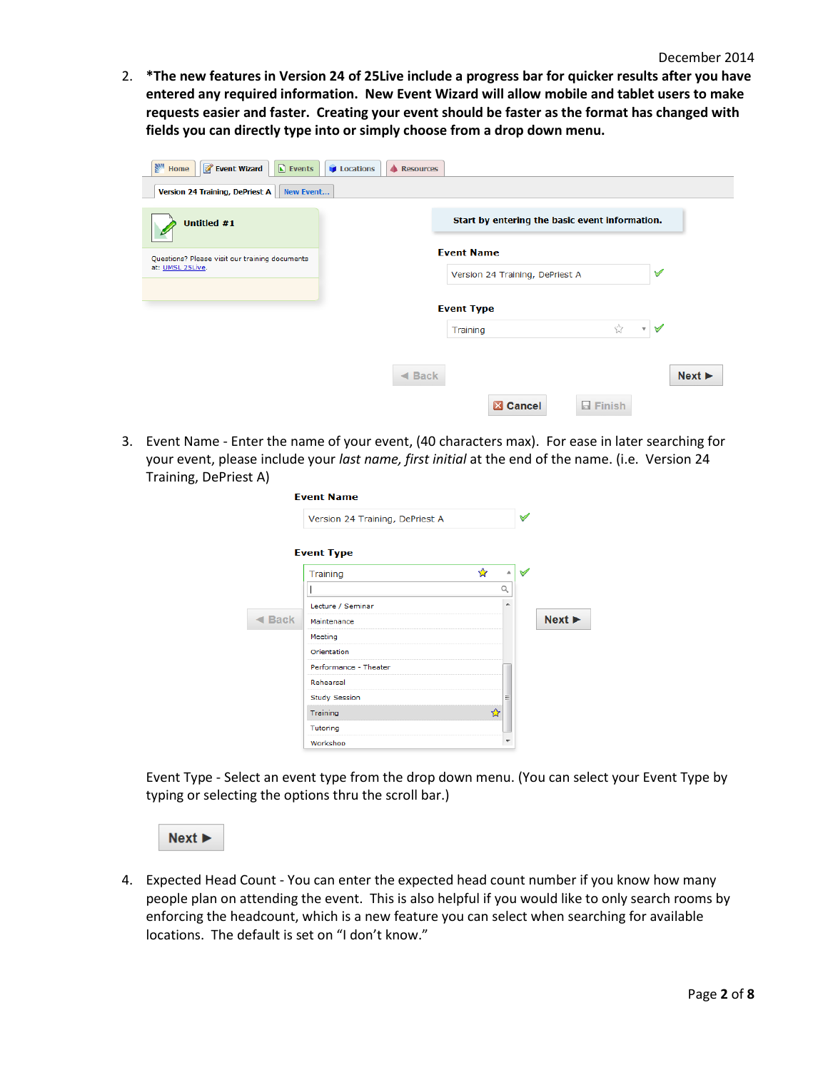2. **\*The new features in Version 24 of 25Live include a progress bar for quicker results after you have entered any required information. New Event Wizard will allow mobile and tablet users to make requests easier and faster. Creating your event should be faster as the format has changed with fields you can directly type into or simply choose from a drop down menu.** 

| <b>Ban</b><br><b>Event Wizard</b><br>$\blacksquare$ Events<br><b>Locations</b><br>Home<br>Version 24 Training, DePriest A<br>New Event | <b>A</b> Resources                                   |                                |
|----------------------------------------------------------------------------------------------------------------------------------------|------------------------------------------------------|--------------------------------|
| Untitled #1                                                                                                                            | Start by entering the basic event information.       |                                |
| Questions? Please visit our training documents<br>at: UMSL 25Live.                                                                     | <b>Event Name</b><br>Version 24 Training, DePriest A | $\checkmark$                   |
|                                                                                                                                        | <b>Event Type</b><br>☆<br>Training                   | $\checkmark$<br>$\mathbf{v}$ . |
|                                                                                                                                        | $\triangleleft$ Back                                 | Next                           |
|                                                                                                                                        | <b>Z</b> Cancel<br>$\Box$ Finish                     |                                |

3. Event Name - Enter the name of your event, (40 characters max). For ease in later searching for your event, please include your *last name, first initial* at the end of the name. (i.e. Version 24 Training, DePriest A)

|                      | <b>Event Name</b>               |         |      |  |
|----------------------|---------------------------------|---------|------|--|
|                      | Version 24 Training, DePriest A |         |      |  |
|                      | <b>Event Type</b>               |         |      |  |
|                      | Training                        | ☆<br>A. |      |  |
|                      |                                 | Q       |      |  |
|                      | Lecture / Seminar               | ۰       |      |  |
| $\triangleleft$ Back | Maintenance                     |         | Next |  |
|                      | Meeting                         |         |      |  |
|                      | Orientation                     |         |      |  |
|                      | Performance - Theater           |         |      |  |
|                      | Rehearsal                       |         |      |  |
|                      | <b>Study Session</b>            | Ξ       |      |  |
|                      | Training                        | ❖       |      |  |
|                      | Tutoring                        |         |      |  |
|                      | Workshop                        | ▼       |      |  |

Event Type - Select an event type from the drop down menu. (You can select your Event Type by typing or selecting the options thru the scroll bar.)



4. Expected Head Count - You can enter the expected head count number if you know how many people plan on attending the event. This is also helpful if you would like to only search rooms by enforcing the headcount, which is a new feature you can select when searching for available locations. The default is set on "I don't know."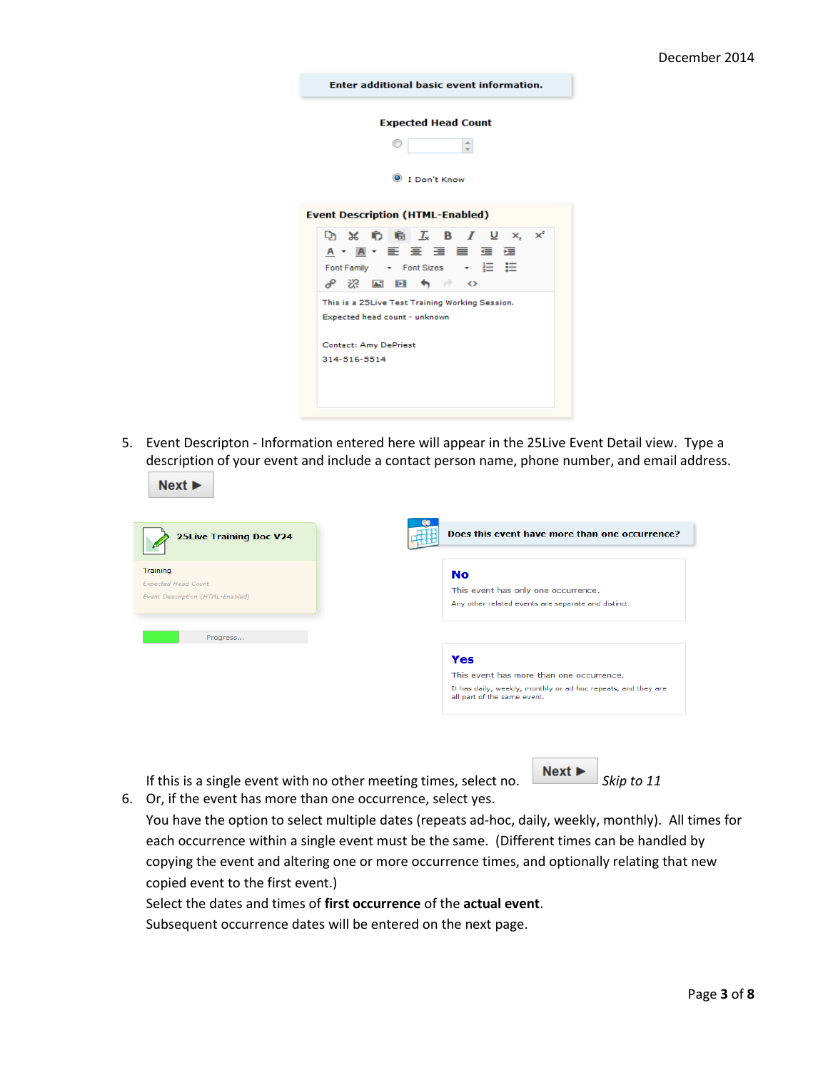| <b>Enter additional basic event information.</b> |  |  |
|--------------------------------------------------|--|--|
|                                                  |  |  |

#### **Expected Head Count**

| I Don't Know |
|--------------|

#### **Event Description (HTML-Enabled)**



5. Event Descripton - Information entered here will appear in the 25Live Event Detail view. Type a description of your event and include a contact person name, phone number, and email address.

| Does this event have more than one occurrence?                                               |
|----------------------------------------------------------------------------------------------|
| <b>No</b>                                                                                    |
| This event has only one occurrence.                                                          |
| Any other related events are separate and distinct.                                          |
| Yes                                                                                          |
| This event has more than one occurrence.                                                     |
| It has daily, weekly, monthly or ad hoc repeats, and they are<br>all part of the same event. |
|                                                                                              |

If this is a single event with no other meeting times, select no.  $\boxed{\phantom{\cdot}\text{Next}\blacktriangleright\phantom{\cdot}}$  Skip to 11 6. Or, if the event has more than one occurrence, select yes.

 $Next$ 

You have the option to select multiple dates (repeats ad-hoc, daily, weekly, monthly). All times for each occurrence within a single event must be the same. (Different times can be handled by copying the event and altering one or more occurrence times, and optionally relating that new copied event to the first event.)

Select the dates and times of **first occurrence** of the **actual event**.

Subsequent occurrence dates will be entered on the next page.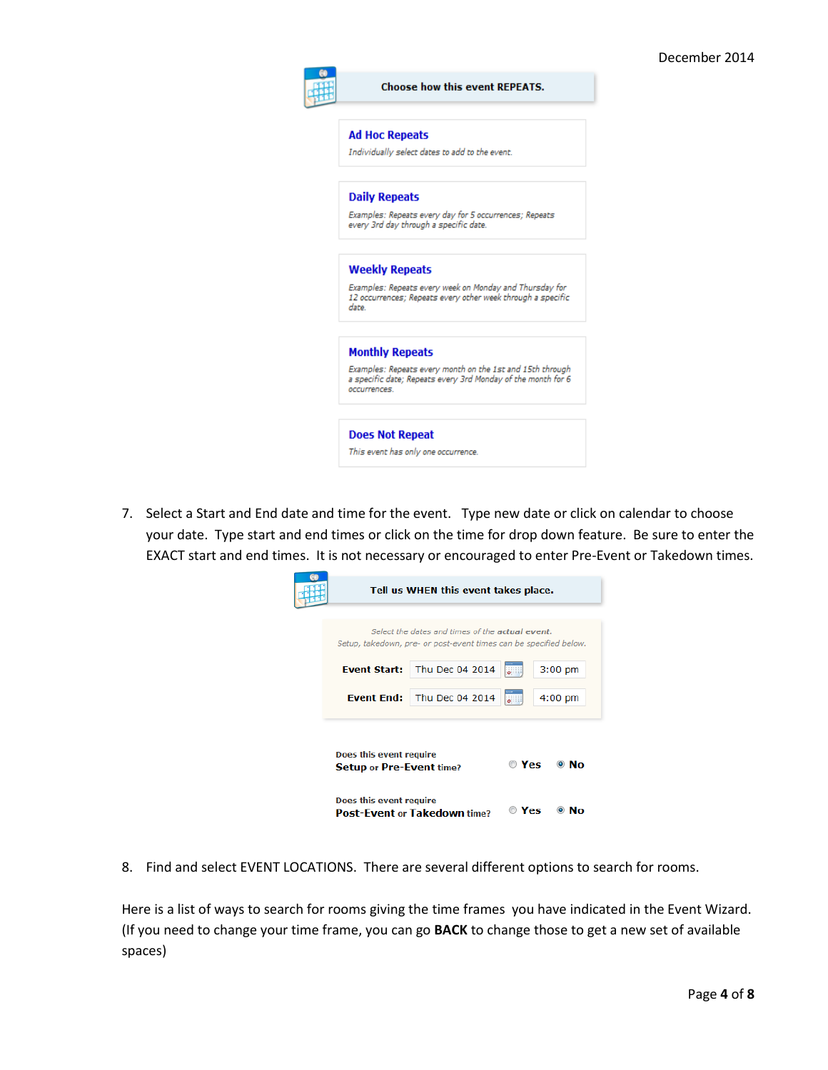|                      | <b>Ad Hoc Repeats</b>                                                                                                     |
|----------------------|---------------------------------------------------------------------------------------------------------------------------|
|                      | Individually select dates to add to the event.                                                                            |
| <b>Daily Repeats</b> |                                                                                                                           |
|                      | Examples: Repeats every day for 5 occurrences; Repeats<br>every 3rd day through a specific date.                          |
|                      | <b>Weekly Repeats</b>                                                                                                     |
| date.                | Examples: Repeats every week on Monday and Thursday for<br>12 occurrences; Repeats every other week through a specific    |
|                      | <b>Monthly Repeats</b>                                                                                                    |
| occurrences.         | Examples: Repeats every month on the 1st and 15th through<br>a specific date; Repeats every 3rd Monday of the month for 6 |

7. Select a Start and End date and time for the event. Type new date or click on calendar to choose your date. Type start and end times or click on the time for drop down feature. Be sure to enter the EXACT start and end times. It is not necessary or encouraged to enter Pre-Event or Takedown times.

|                                                            | Tell us WHEN this event takes place.                                                                                 |             |              |
|------------------------------------------------------------|----------------------------------------------------------------------------------------------------------------------|-------------|--------------|
|                                                            | Select the dates and times of the actual event.<br>Setup, takedown, pre- or post-event times can be specified below. |             |              |
| <b>Event Start:</b>                                        | Thu Dec 04 2014                                                                                                      |             | $3:00$ pm    |
| <b>Event End:</b>                                          | Thu Dec 04 2014                                                                                                      |             | $4:00$ pm    |
| Does this event require<br><b>Setup or Pre-Event time?</b> |                                                                                                                      | $\circ$ Yes | $\bullet$ No |
| Does this event require                                    | <b>Post-Event or Takedown time?</b>                                                                                  | Yes         | NΛ           |

8. Find and select EVENT LOCATIONS. There are several different options to search for rooms.

Here is a list of ways to search for rooms giving the time frames you have indicated in the Event Wizard. (If you need to change your time frame, you can go **BACK** to change those to get a new set of available spaces)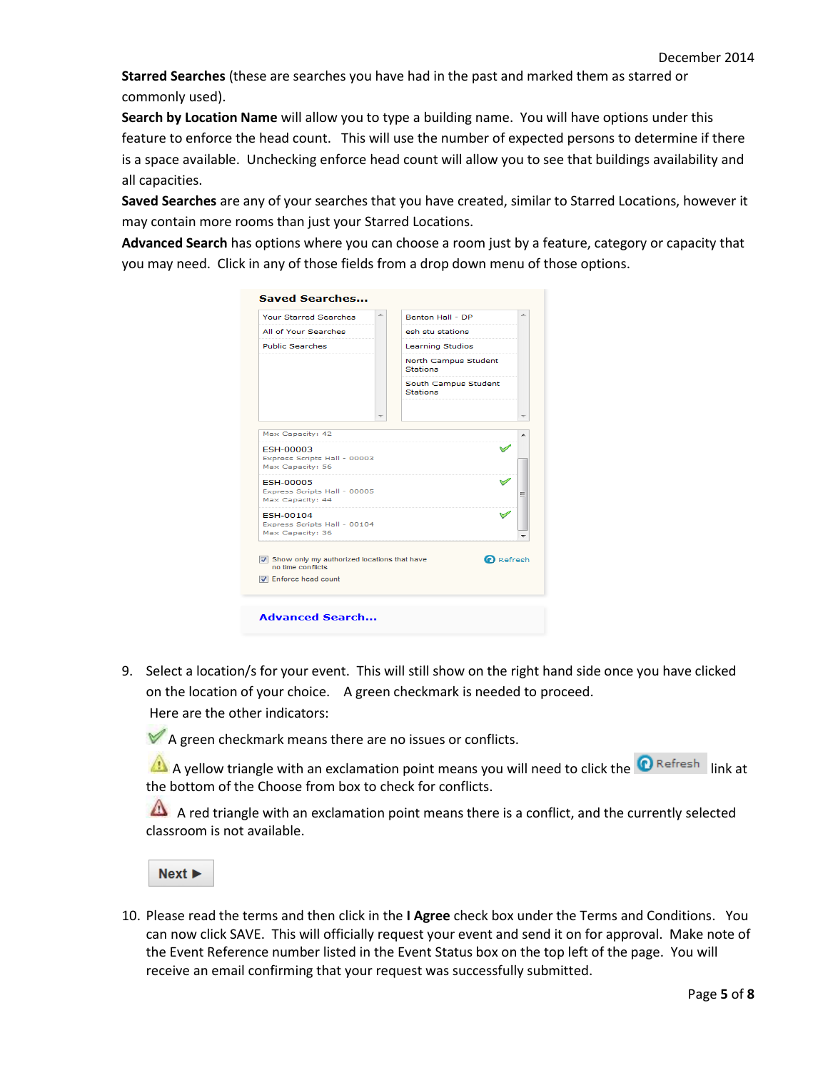**Starred Searches** (these are searches you have had in the past and marked them as starred or commonly used).

**Search by Location Name** will allow you to type a building name. You will have options under this feature to enforce the head count. This will use the number of expected persons to determine if there is a space available. Unchecking enforce head count will allow you to see that buildings availability and all capacities.

**Saved Searches** are any of your searches that you have created, similar to Starred Locations, however it may contain more rooms than just your Starred Locations.

**Advanced Search** has options where you can choose a room just by a feature, category or capacity that you may need. Click in any of those fields from a drop down menu of those options.

| <b>Your Starred Searches</b>                                         | À. | Benton Hall - DP                        | A. |
|----------------------------------------------------------------------|----|-----------------------------------------|----|
| All of Your Searches                                                 |    | esh stu stations                        |    |
| <b>Public Searches</b>                                               |    | <b>Learning Studios</b>                 |    |
|                                                                      |    | North Campus Student<br><b>Stations</b> |    |
|                                                                      |    | South Campus Student<br><b>Stations</b> |    |
|                                                                      |    |                                         |    |
| Max Capacity: 42                                                     |    |                                         |    |
| <b>ESH-00003</b><br>Express Scripts Hall - 00003<br>Max Capacity: 56 |    |                                         |    |
| <b>FSH-00005</b><br>Express Scripts Hall - 00005<br>Max Capacity: 44 |    |                                         | Ξ  |
| <b>FSH-00104</b><br>Express Scripts Hall - 00104<br>Max Capacity: 36 |    |                                         |    |
| Show only my authorized locations that have<br>no time conflicts     |    | $\Omega$ Refresh                        |    |
| <b>V</b> Enforce head count                                          |    |                                         |    |
|                                                                      |    |                                         |    |

9. Select a location/s for your event. This will still show on the right hand side once you have clicked on the location of your choice. A green checkmark is needed to proceed. Here are the other indicators:

 $\blacktriangleright$  A green checkmark means there are no issues or conflicts.

A yellow triangle with an exclamation point means you will need to click the **O** Refresh link at the bottom of the Choose from box to check for conflicts.

A red triangle with an exclamation point means there is a conflict, and the currently selected classroom is not available.

 $Next$ 

10. Please read the terms and then click in the **I Agree** check box under the Terms and Conditions. You can now click SAVE. This will officially request your event and send it on for approval. Make note of the Event Reference number listed in the Event Status box on the top left of the page. You will receive an email confirming that your request was successfully submitted.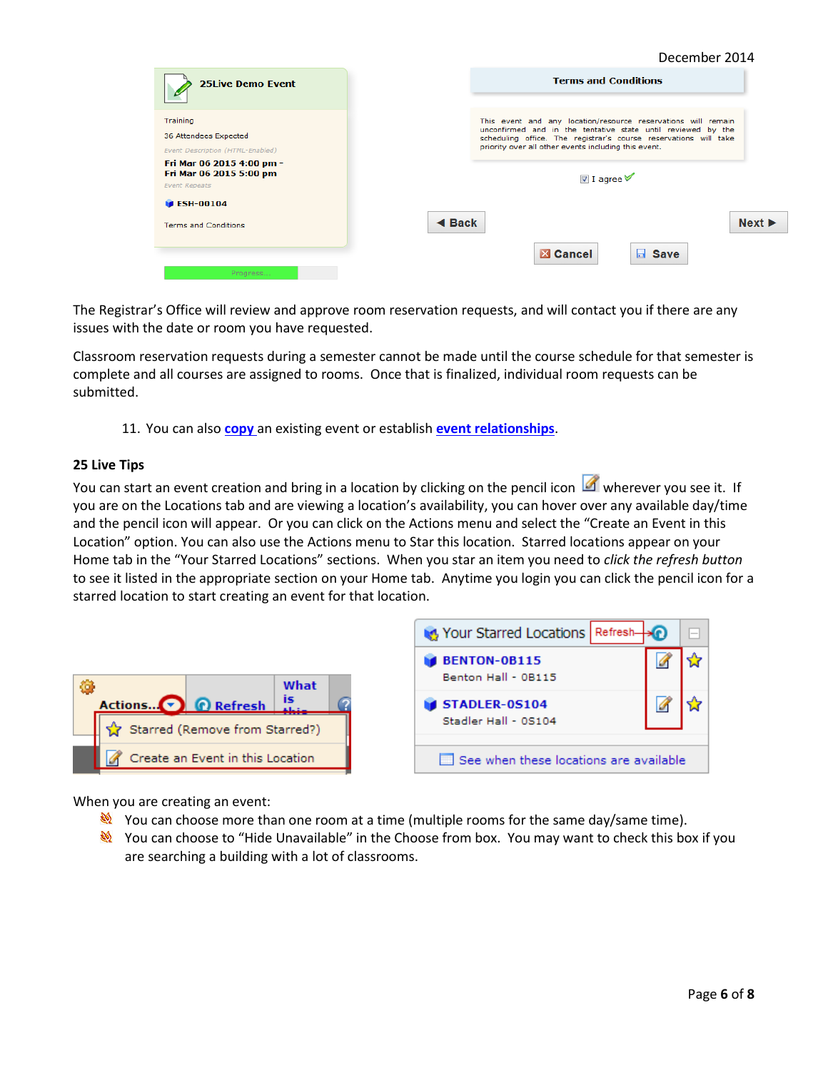|                                                                                                                                                       | December 2014                                                                                                                                                                                                                                                                       |
|-------------------------------------------------------------------------------------------------------------------------------------------------------|-------------------------------------------------------------------------------------------------------------------------------------------------------------------------------------------------------------------------------------------------------------------------------------|
| <b>25Live Demo Event</b>                                                                                                                              | <b>Terms and Conditions</b>                                                                                                                                                                                                                                                         |
| Training<br>36 Attendees Expected<br>Event Description (HTML-Enabled)<br>Fri Mar 06 2015 4:00 pm -<br>Fri Mar 06 2015 5:00 pm<br><b>Event Repeats</b> | This event and any location/resource reservations will remain<br>unconfirmed and in the tentative state until reviewed by the<br>scheduling office. The registrar's course reservations will take<br>priority over all other events including this event.<br>$\blacksquare$ I agree |
| $\blacktriangleright$ ESH-00104                                                                                                                       |                                                                                                                                                                                                                                                                                     |
| <b>Terms and Conditions</b><br>Progress                                                                                                               | Next<br>$\triangleleft$ Back<br><b>EX Cancel</b><br>$\blacksquare$ Save                                                                                                                                                                                                             |

The Registrar's Office will review and approve room reservation requests, and will contact you if there are any issues with the date or room you have requested.

Classroom reservation requests during a semester cannot be made until the course schedule for that semester is complete and all courses are assigned to rooms. Once that is finalized, individual room requests can be submitted.

11. You can also **[copy](#page-5-0)** an existing event or establish **[event relationships](#page-5-0)**.

### **25 Live Tips**

You can start an event creation and bring in a location by clicking on the pencil icon wherever you see it. If you are on the Locations tab and are viewing a location's availability, you can hover over any available day/time and the pencil icon will appear. Or you can click on the Actions menu and select the "Create an Event in this Location" option. You can also use the Actions menu to Star this location. Starred locations appear on your Home tab in the "Your Starred Locations" sections. When you star an item you need to *click the refresh button* to see it listed in the appropriate section on your Home tab. Anytime you login you can click the pencil icon for a starred location to start creating an event for that location.



When you are creating an event:

- You can choose more than one room at a time (multiple rooms for the same day/same time).
- <span id="page-5-0"></span>You can choose to "Hide Unavailable" in the Choose from box. You may want to check this box if you are searching a building with a lot of classrooms.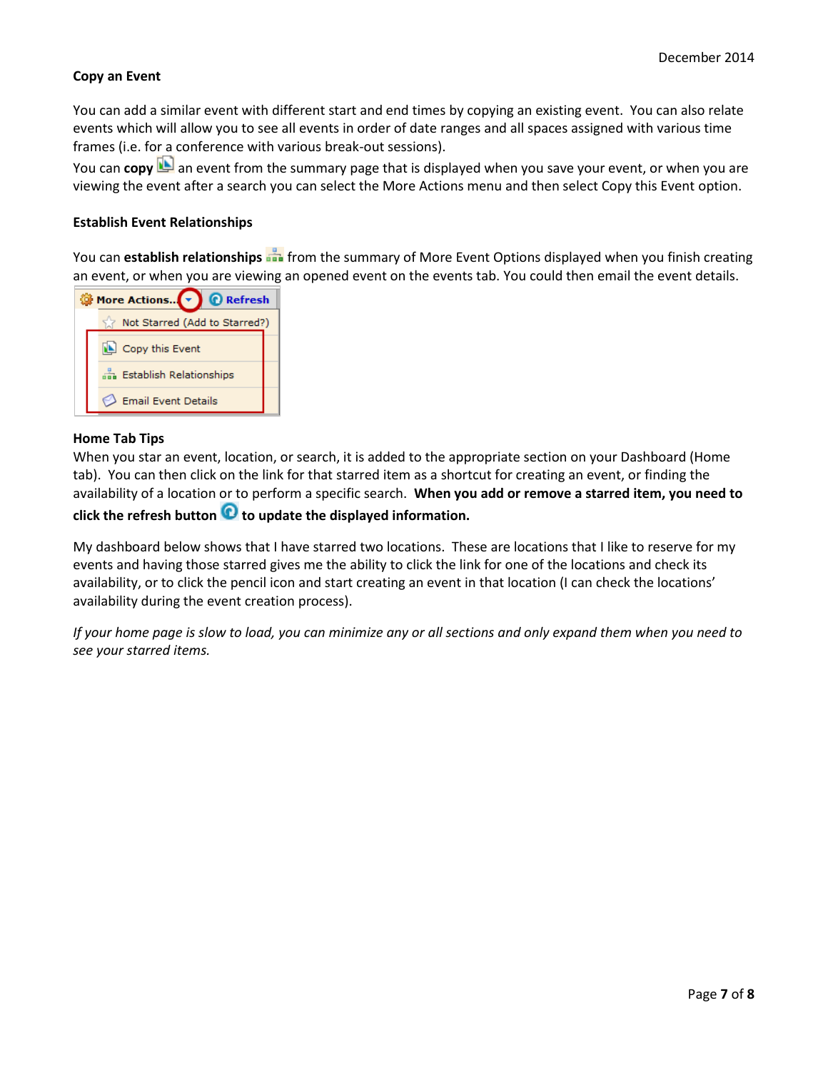### **Copy an Event**

You can add a similar event with different start and end times by copying an existing event. You can also relate events which will allow you to see all events in order of date ranges and all spaces assigned with various time frames (i.e. for a conference with various break-out sessions).

You can copy **b** an event from the summary page that is displayed when you save your event, or when you are viewing the event after a search you can select the More Actions menu and then select Copy this Event option.

#### **Establish Event Relationships**

You can **establish relationships** from the summary of More Event Options displayed when you finish creating an event, or when you are viewing an opened event on the events tab. You could then email the event details.

|  | More Actions v<br><b>Q</b> Refresh |
|--|------------------------------------|
|  | Not Starred (Add to Starred?)      |
|  | Copy this Event                    |
|  | din Establish Relationships        |
|  | <b>Email Event Details</b>         |

#### <span id="page-6-0"></span>**Home Tab Tips**

When you star an event, location, or search, it is added to the appropriate section on your Dashboard (Home tab). You can then click on the link for that starred item as a shortcut for creating an event, or finding the availability of a location or to perform a specific search. **When you add or remove a starred item, you need to** 

# **click the refresh button to update the displayed information.**

My dashboard below shows that I have starred two locations. These are locations that I like to reserve for my events and having those starred gives me the ability to click the link for one of the locations and check its availability, or to click the pencil icon and start creating an event in that location (I can check the locations' availability during the event creation process).

*If your home page is slow to load, you can minimize any or all sections and only expand them when you need to see your starred items.*